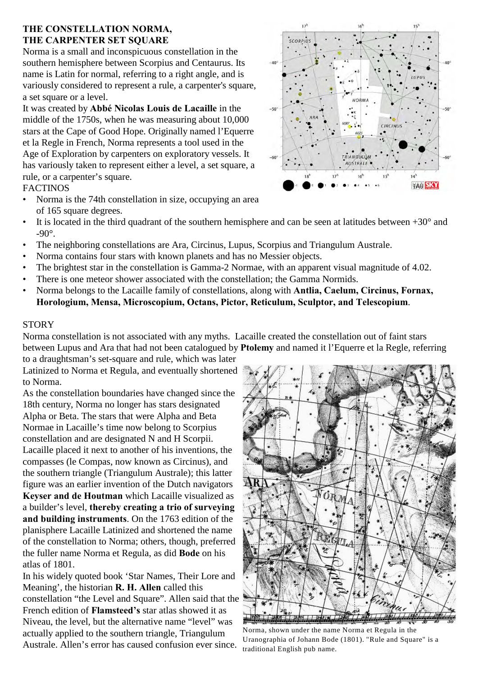## **THE CONSTELLATION NORMA, THE CARPENTER SET SQUARE**

Norma is a small and inconspicuous constellation in the southern hemisphere between Scorpius and Centaurus. Its name is Latin for normal, referring to a right angle, and is variously considered to represent a rule, a carpenter's square, a set square or a level.

It was created by **Abbé Nicolas Louis de Lacaille** in the middle of the 1750s, when he was measuring about 10,000 stars at the Cape of Good Hope. Originally named l'Equerre et la Regle in French, Norma represents a tool used in the Age of Exploration by carpenters on exploratory vessels. It has variously taken to represent either a level, a set square, a rule, or a carpenter's square.

# FACTINOS

- Norma is the 74th constellation in size, occupying an area of 165 square degrees.
- It is located in the third quadrant of the southern hemisphere and can be seen at latitudes between  $+30^{\circ}$  and  $-90^\circ$ .
- The neighboring constellations are Ara, Circinus, Lupus, Scorpius and Triangulum Australe.
- Norma contains four stars with known planets and has no Messier objects.
- The brightest star in the constellation is Gamma-2 Normae, with an apparent visual magnitude of 4.02.
- There is one meteor shower associated with the constellation; the Gamma Normids.
- Norma belongs to the Lacaille family of constellations, along with **Antlia, Caelum, Circinus, Fornax, Horologium, Mensa, Microscopium, Octans, Pictor, Reticulum, Sculptor, and Telescopium**.

#### **STORY**

Norma constellation is not associated with any myths. Lacaille created the constellation out of faint stars between Lupus and Ara that had not been catalogued by **Ptolemy** and named it l'Equerre et la Regle, referring to a draughtsman's set-square and rule, which was later

Latinized to Norma et Regula, and eventually shortened to Norma.

As the constellation boundaries have changed since the 18th century, Norma no longer has stars designated Alpha or Beta. The stars that were Alpha and Beta Normae in Lacaille's time now belong to Scorpius constellation and are designated N and H Scorpii. Lacaille placed it next to another of his inventions, the compasses (le Compas, now known as Circinus), and the southern triangle (Triangulum Australe); this latter figure was an earlier invention of the Dutch navigators **Keyser and de Houtman** which Lacaille visualized as a builder's level, **thereby creating a trio of surveying and building instruments**. On the 1763 edition of the planisphere Lacaille Latinized and shortened the name of the constellation to Norma; others, though, preferred the fuller name Norma et Regula, as did **Bode** on his atlas of 1801.

In his widely quoted book 'Star Names, Their Lore and Meaning', the historian **R. H. Allen** called this constellation "the Level and Square". Allen said that the French edition of **Flamsteed's** star atlas showed it as Niveau, the level, but the alternative name "level" was actually applied to the southern triangle, Triangulum Australe. Allen's error has caused confusion ever since.



Norma, shown under the name Norma et Regula in the Uranographia of Johann Bode (1801). "Rule and Square" is a traditional English pub name.